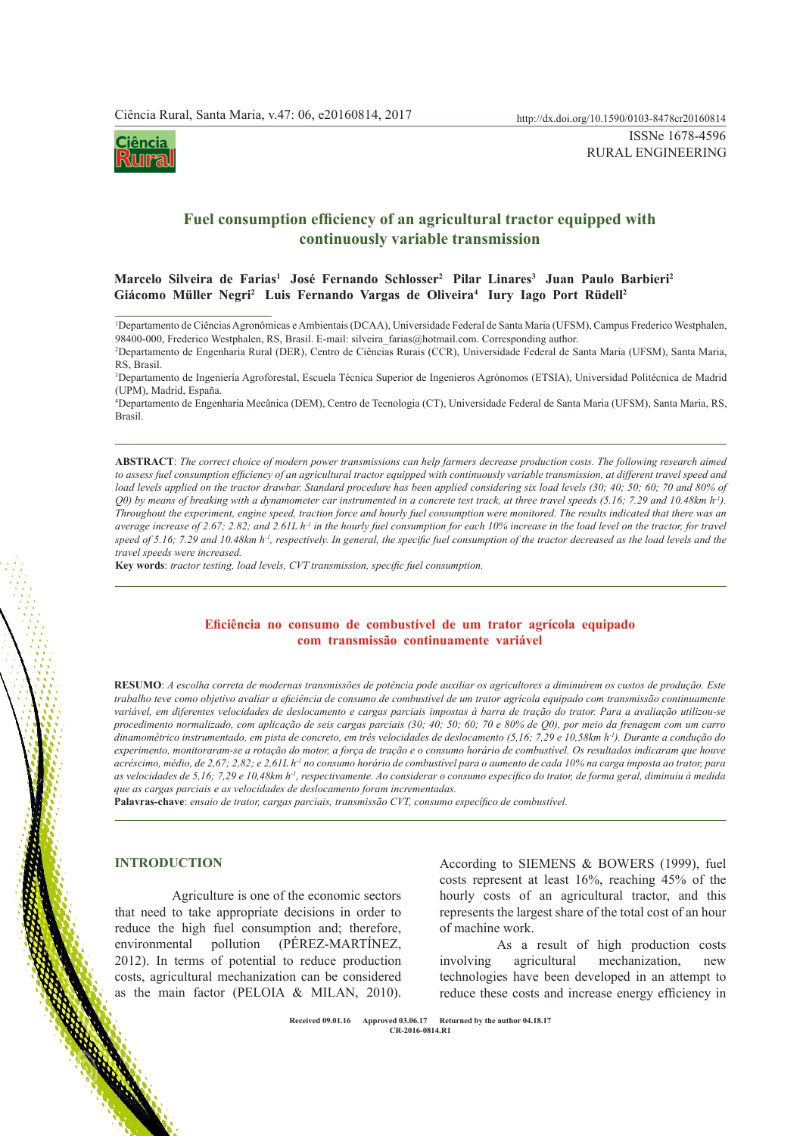

# **Fuel consumption efficiency of an agricultural tractor equipped with continuously variable transmission**

**Marcelo Silveira de Farias<sup>1</sup> José Fernando Schlosser<sup>2</sup> Pilar Linares<sup>3</sup> Juan Paulo Barbieri<sup>2</sup> Giácomo Müller Negri<sup>2</sup> Luis Fernando Vargas de Oliveira<sup>4</sup> Iury Iago Port Rüdell<sup>2</sup>**

4 Departamento de Engenharia Mecânica (DEM), Centro de Tecnologia (CT), Universidade Federal de Santa Maria (UFSM), Santa Maria, RS, Brasil.

**ABSTRACT**: *The correct choice of modern power transmissions can help farmers decrease production costs. The following research aimed to assess fuel consumption efficiency of an agricultural tractor equipped with continuously variable transmission, at different travel speed and*  load levels applied on the tractor drawbar. Standard procedure has been applied considering six load levels (30; 40; 50; 60; 70 and 80% of *Q0) by means of breaking with a dynamometer car instrumented in a concrete test track, at three travel speeds (5.16; 7.29 and 10.48km h-1). Throughout the experiment, engine speed, traction force and hourly fuel consumption were monitored. The results indicated that there was an average increase of 2.67; 2.82; and 2.61L h-1 in the hourly fuel consumption for each 10% increase in the load level on the tractor, for travel*  speed of 5.16; 7.29 and 10.48km  $h<sup>1</sup>$ , respectively. In general, the specific fuel consumption of the tractor decreased as the load levels and the *travel speeds were increased.*

**Key words**: *tractor testing, load levels, CVT transmission, specific fuel consumption.*

### **Eficiência no consumo de combustível de um trator agrícola equipado com transmissão continuamente variável**

**RESUMO**: *A escolha correta de modernas transmissões de potência pode auxiliar os agricultores a diminuírem os custos de produção. Este trabalho teve como objetivo avaliar a eficiência de consumo de combustível de um trator agrícola equipado com transmissão continuamente variável, em diferentes velocidades de deslocamento e cargas parciais impostas à barra de tração do trator. Para a avaliação utilizou-se procedimento normalizado, com aplicação de seis cargas parciais (30; 40; 50; 60; 70 e 80% de Q0), por meio da frenagem com um carro dinamométrico instrumentado, em pista de concreto, em três velocidades de deslocamento (5,16; 7,29 e 10,58km h-1). Durante a condução do experimento, monitoraram-se a rotação do motor, a força de tração e o consumo horário de combustível. Os resultados indicaram que houve acréscimo, médio, de 2,67; 2,82; e 2,61L h-1 no consumo horário de combustível para o aumento de cada 10% na carga imposta ao trator, para as velocidades de 5,16; 7,29 e 10,48km h-1, respectivamente. Ao considerar o consumo específico do trator, de forma geral, diminuiu à medida que as cargas parciais e as velocidades de deslocamento foram incrementadas.*

**Palavras-chave**: *ensaio de trator, cargas parciais, transmissão CVT, consumo específico de combustível.*

# **INTRODUCTION**

Agriculture is one of the economic sectors that need to take appropriate decisions in order to reduce the high fuel consumption and; therefore, environmental pollution (PÉREZ-MARTÍNEZ, 2012). In terms of potential to reduce production costs, agricultural mechanization can be considered as the main factor (PELOIA & MILAN, 2010).

According to SIEMENS & BOWERS (1999), fuel costs represent at least 16%, reaching 45% of the hourly costs of an agricultural tractor, and this represents the largest share of the total cost of an hour of machine work.

As a result of high production costs involving agricultural mechanization, new technologies have been developed in an attempt to reduce these costs and increase energy efficiency in

**Received 09.01.16 Approved 03.06.17 Returned by the author 04.18.17 CR-2016-0814.R1**

<sup>1</sup> Departamento de Ciências Agronômicas e Ambientais (DCAA), Universidade Federal de Santa Maria (UFSM), Campus Frederico Westphalen, 98400-000, Frederico Westphalen, RS, Brasil. E-mail: silveira\_farias@hotmail.com. Corresponding author.

<sup>2</sup> Departamento de Engenharia Rural (DER), Centro de Ciências Rurais (CCR), Universidade Federal de Santa Maria (UFSM), Santa Maria, RS, Brasil.

<sup>3</sup> Departamento de Ingeniería Agroforestal, Escuela Técnica Superior de Ingenieros Agrónomos (ETSIA), Universidad Politécnica de Madrid (UPM), Madrid, España.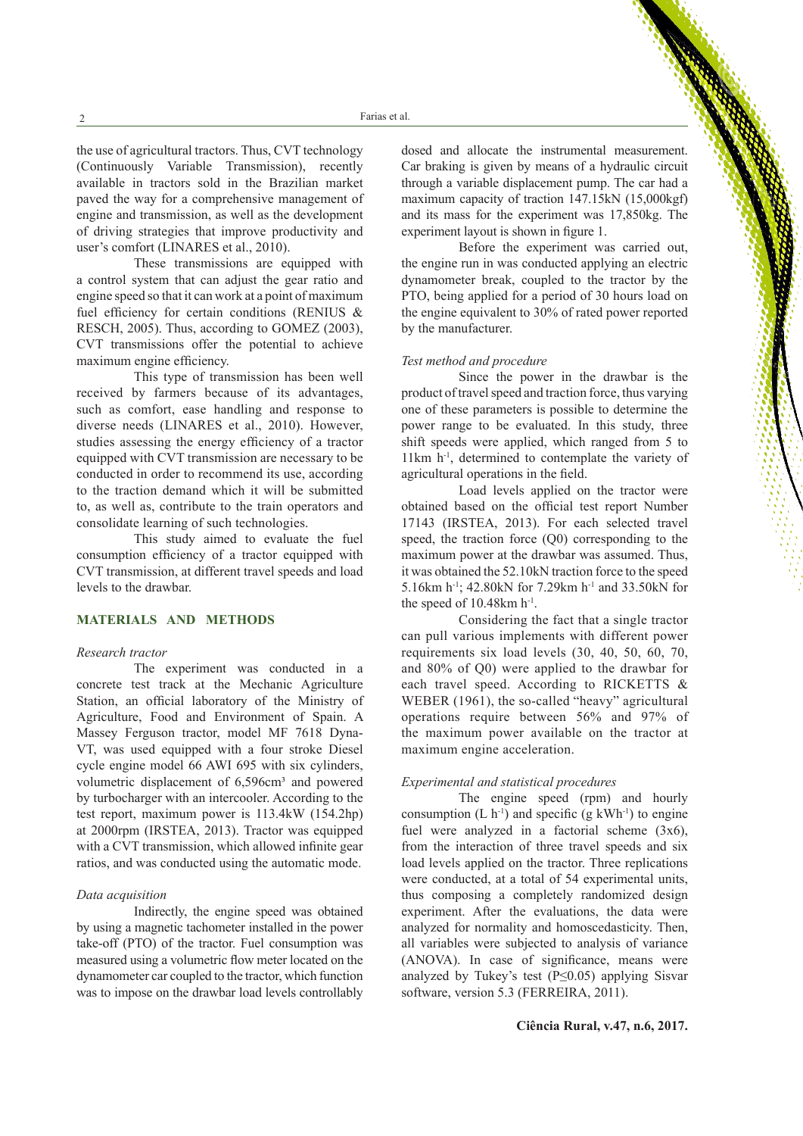the use of agricultural tractors. Thus, CVT technology (Continuously Variable Transmission), recently available in tractors sold in the Brazilian market paved the way for a comprehensive management of engine and transmission, as well as the development of driving strategies that improve productivity and user's comfort (LINARES et al., 2010).

These transmissions are equipped with a control system that can adjust the gear ratio and engine speed so that it can work at a point of maximum fuel efficiency for certain conditions (RENIUS & RESCH, 2005). Thus, according to GOMEZ (2003), CVT transmissions offer the potential to achieve maximum engine efficiency.

This type of transmission has been well received by farmers because of its advantages, such as comfort, ease handling and response to diverse needs (LINARES et al., 2010). However, studies assessing the energy efficiency of a tractor equipped with CVT transmission are necessary to be conducted in order to recommend its use, according to the traction demand which it will be submitted to, as well as, contribute to the train operators and consolidate learning of such technologies.

This study aimed to evaluate the fuel consumption efficiency of a tractor equipped with CVT transmission, at different travel speeds and load levels to the drawbar.

### **MATERIALS AND METHODS**

### *Research tractor*

The experiment was conducted in a concrete test track at the Mechanic Agriculture Station, an official laboratory of the Ministry of Agriculture, Food and Environment of Spain. A Massey Ferguson tractor, model MF 7618 Dyna-VT, was used equipped with a four stroke Diesel cycle engine model 66 AWI 695 with six cylinders, volumetric displacement of 6,596cm<sup>3</sup> and powered by turbocharger with an intercooler. According to the test report, maximum power is 113.4kW (154.2hp) at 2000rpm (IRSTEA, 2013). Tractor was equipped with a CVT transmission, which allowed infinite gear ratios, and was conducted using the automatic mode.

### *Data acquisition*

Indirectly, the engine speed was obtained by using a magnetic tachometer installed in the power take-off (PTO) of the tractor. Fuel consumption was measured using a volumetric flow meter located on the dynamometer car coupled to the tractor, which function was to impose on the drawbar load levels controllably dosed and allocate the instrumental measurement. Car braking is given by means of a hydraulic circuit through a variable displacement pump. The car had a maximum capacity of traction 147.15kN (15,000kgf) and its mass for the experiment was 17,850kg. The experiment layout is shown in figure 1.

Before the experiment was carried out, the engine run in was conducted applying an electric dynamometer break, coupled to the tractor by the PTO, being applied for a period of 30 hours load on the engine equivalent to 30% of rated power reported by the manufacturer.

### *Test method and procedure*

Since the power in the drawbar is the product of travel speed and traction force, thus varying one of these parameters is possible to determine the power range to be evaluated. In this study, three shift speeds were applied, which ranged from 5 to 11km h<sup>-1</sup>, determined to contemplate the variety of agricultural operations in the field.

Load levels applied on the tractor were obtained based on the official test report Number 17143 (IRSTEA, 2013). For each selected travel speed, the traction force (Q0) corresponding to the maximum power at the drawbar was assumed. Thus, it was obtained the 52.10kN traction force to the speed 5.16km h-1; 42.80kN for 7.29km h-1 and 33.50kN for the speed of  $10.48 \text{km} \text{h}^{-1}$ .

Considering the fact that a single tractor can pull various implements with different power requirements six load levels (30, 40, 50, 60, 70, and 80% of Q0) were applied to the drawbar for each travel speed. According to RICKETTS & WEBER (1961), the so-called "heavy" agricultural operations require between 56% and 97% of the maximum power available on the tractor at maximum engine acceleration.

#### *Experimental and statistical procedures*

The engine speed (rpm) and hourly consumption  $(L h^{-1})$  and specific  $(g kWh^{-1})$  to engine fuel were analyzed in a factorial scheme (3x6), from the interaction of three travel speeds and six load levels applied on the tractor. Three replications were conducted, at a total of 54 experimental units, thus composing a completely randomized design experiment. After the evaluations, the data were analyzed for normality and homoscedasticity. Then, all variables were subjected to analysis of variance (ANOVA). In case of significance, means were analyzed by Tukey's test  $(P \le 0.05)$  applying Sisvar software, version 5.3 (FERREIRA, 2011).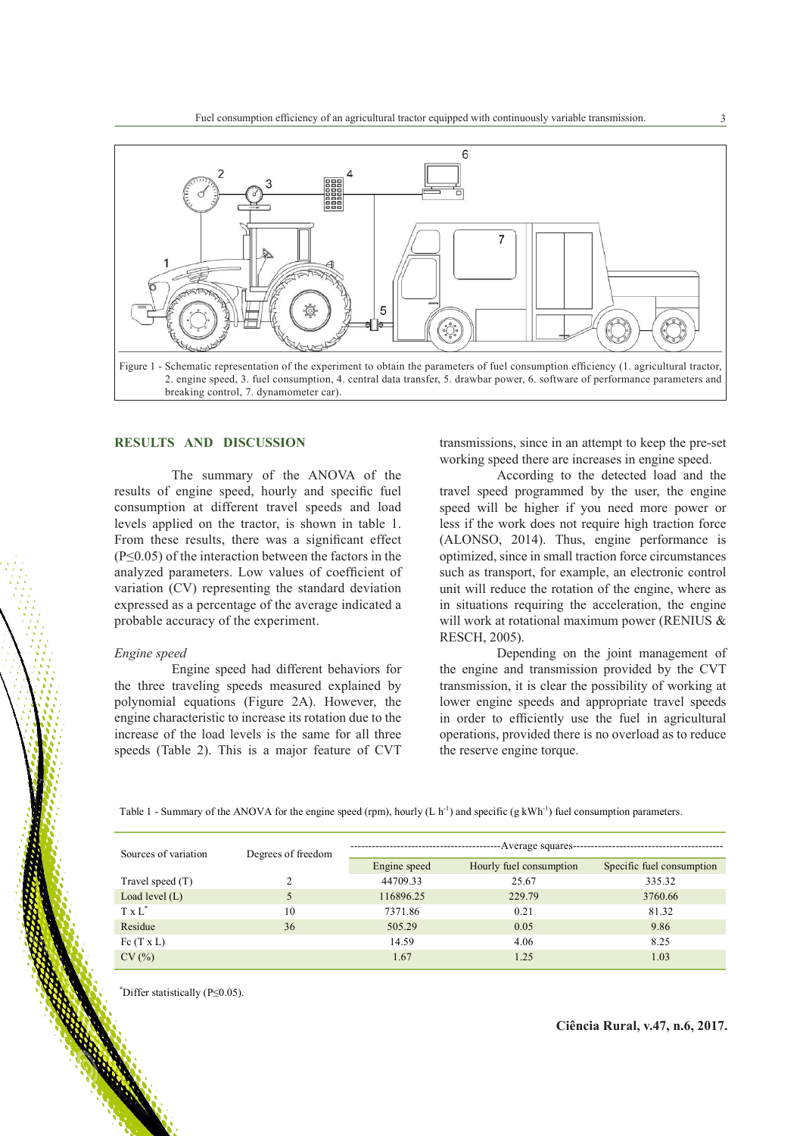

### **RESULTS AND DISCUSSION**

The summary of the ANOVA of the results of engine speed, hourly and specific fuel consumption at different travel speeds and load levels applied on the tractor, is shown in table 1. From these results, there was a significant effect  $(P \le 0.05)$  of the interaction between the factors in the analyzed parameters. Low values of coefficient of variation (CV) representing the standard deviation expressed as a percentage of the average indicated a probable accuracy of the experiment.

#### *Engine speed*

Engine speed had different behaviors for the three traveling speeds measured explained by polynomial equations (Figure 2A). However, the engine characteristic to increase its rotation due to the increase of the load levels is the same for all three speeds (Table 2). This is a major feature of CVT transmissions, since in an attempt to keep the pre-set working speed there are increases in engine speed.

According to the detected load and the travel speed programmed by the user, the engine speed will be higher if you need more power or less if the work does not require high traction force (ALONSO, 2014). Thus, engine performance is optimized, since in small traction force circumstances such as transport, for example, an electronic control unit will reduce the rotation of the engine, where as in situations requiring the acceleration, the engine will work at rotational maximum power (RENIUS & RESCH, 2005).

Depending on the joint management of the engine and transmission provided by the CVT transmission, it is clear the possibility of working at lower engine speeds and appropriate travel speeds in order to efficiently use the fuel in agricultural operations, provided there is no overload as to reduce the reserve engine torque.

Table 1 - Summary of the ANOVA for the engine speed (rpm), hourly  $(L h^{-1})$  and specific (g kWh<sup>-1</sup>) fuel consumption parameters.

| Sources of variation | Degrees of freedom | -- Average squares---------------------------------- |                         |                           |  |  |
|----------------------|--------------------|------------------------------------------------------|-------------------------|---------------------------|--|--|
|                      |                    | Engine speed                                         | Hourly fuel consumption | Specific fuel consumption |  |  |
| Travel speed $(T)$   |                    | 44709.33                                             | 25.67                   | 335.32                    |  |  |
| Load level $(L)$     |                    | 116896.25                                            | 229.79                  | 3760.66                   |  |  |
| $T X L^*$            | 10                 | 7371.86                                              | 0.21                    | 81.32                     |  |  |
| Residue              | 36                 | 505.29                                               | 0.05                    | 9.86                      |  |  |
| Fc(TxL)              |                    | 14.59                                                | 4.06                    | 8.25                      |  |  |
| CV(%)                |                    | 1.67                                                 | 1.25                    | 1.03                      |  |  |

\* Differ statistically (P≤0.05).

**Ciência Rural, v.47, n.6, 2017.**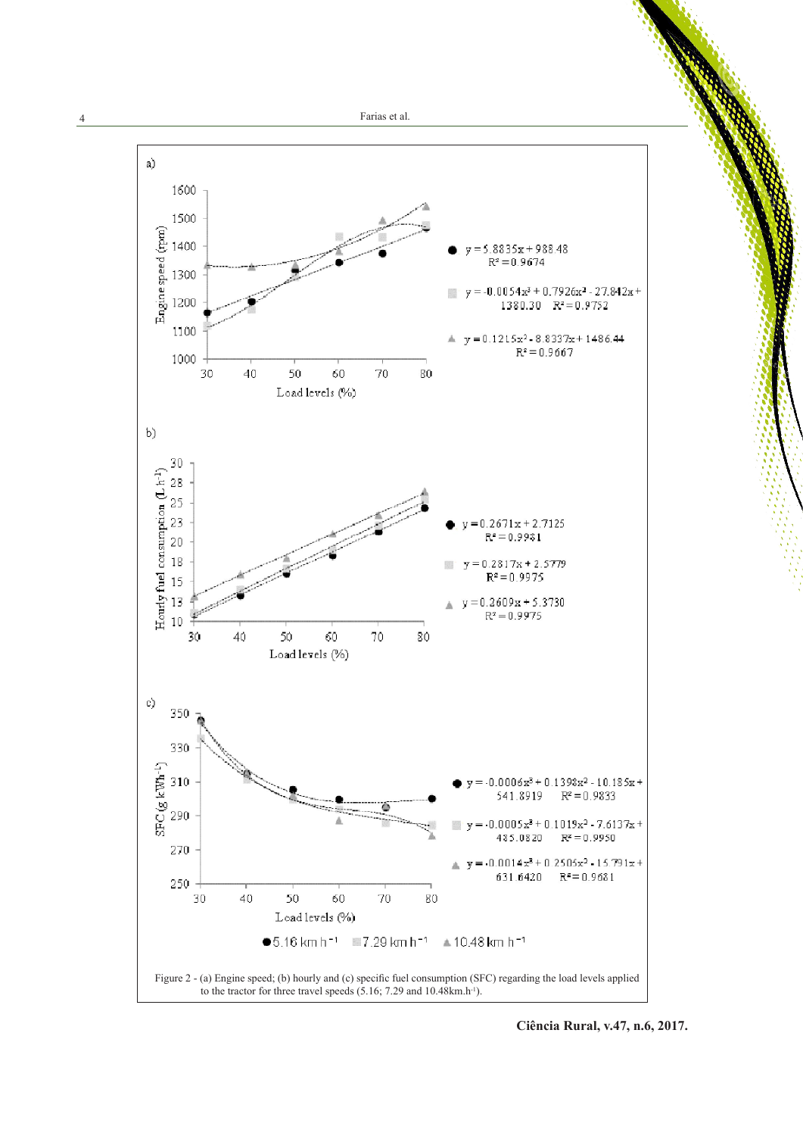Farias et al.



**Ciência Rural, v.47, n.6, 2017.**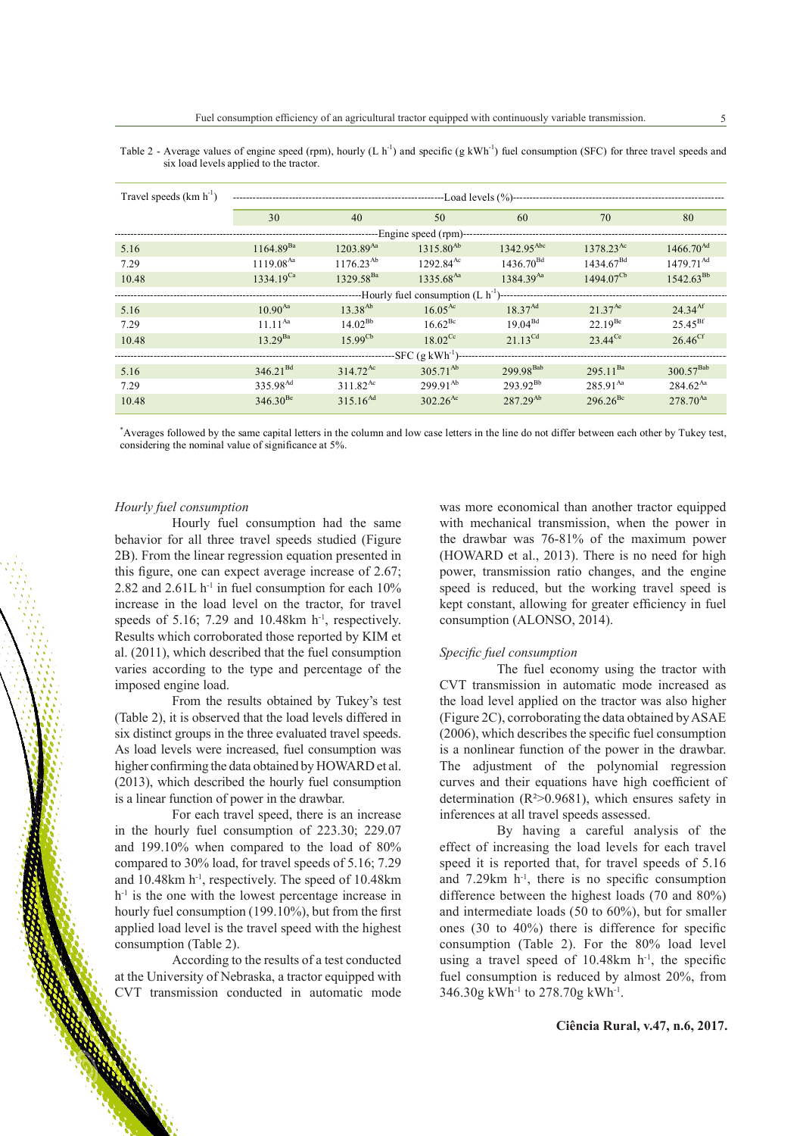| ۰,<br>I<br>v<br>٧ |  |
|-------------------|--|

| Table 2 - Average values of engine speed (rpm), hourly $(L h^{-1})$ and specific (g kWh <sup>-1</sup> ) fuel consumption (SFC) for three travel speeds and |  |  |
|------------------------------------------------------------------------------------------------------------------------------------------------------------|--|--|
| six load levels applied to the tractor.                                                                                                                    |  |  |

| Travel speeds $(km h-1)$                           | ---Load levels (%)------------------------- |                |                     |                        |                       |                       |  |
|----------------------------------------------------|---------------------------------------------|----------------|---------------------|------------------------|-----------------------|-----------------------|--|
|                                                    | 30                                          | 40             | 50                  | 60                     | 70                    | 80                    |  |
| ---------Engine speed (rpm)---                     |                                             |                |                     |                        |                       |                       |  |
| 5.16                                               | $1164.89^{Ba}$                              | $1203.89^{Aa}$ | $1315.80^{Ab}$      | $1342.95^{\text{Abc}}$ | $1378.23^{Ac}$        | $1466.70^{Ad}$        |  |
| 7.29                                               | $1119.08^{Aa}$                              | $1176.23^{Ab}$ | $1292.84^{Ac}$      | $1436.70^{Bd}$         | $1434.67^{Bd}$        | $1479.71^{Ad}$        |  |
| 10.48                                              | $1334.19$ <sup>Ca</sup>                     | $1329.58^{Ba}$ | $1335.68^{Aa}$      | $1384.39^{Aa}$         | $1494.07^{\text{Cb}}$ | $1542.63^{Bb}$        |  |
| ---Hourly fuel consumption (L h <sup>-1</sup> )--- |                                             |                |                     |                        |                       |                       |  |
| 5.16                                               | $10.90^{Aa}$                                | $13.38^{Ab}$   | $16.05^{Ac}$        | $18.37^{Ad}$           | $21.37^{Ae}$          | $24.34$ <sup>Af</sup> |  |
| 7.29                                               | $11.11^{Aa}$                                | $14.02^{Bb}$   | $16.62^{Bc}$        | $19.04^{Bd}$           | 22.19 $^{\rm Be}$     | $25.45^{Bf}$          |  |
| 10.48                                              | $13.29^{Ba}$                                | $15.99^{Cb}$   | $18.02^{\text{Cc}}$ | 2.1 13 <sup>Cd</sup>   | $23.44$ <sup>Ce</sup> | $26.46^{\text{Cf}}$   |  |
| $-$ SFC $(g kWh^{-1})$ --                          |                                             |                |                     |                        |                       |                       |  |
| 5.16                                               | $346.21^{Bd}$                               | $314.72^{Ac}$  | $305.71^{Ab}$       | 299.98Bab              | $295.11^{Ba}$         | $300.57^{Bab}$        |  |
| 7.29                                               | 335.98 <sup>Ad</sup>                        | $311.82^{Ac}$  | $299.91^{Ab}$       | $293.92^{Bb}$          | $285.91^{Aa}$         | $284.62^{Aa}$         |  |
| 10.48                                              | $346.30^{Be}$                               | $315.16^{Ad}$  | $302.26^{Ac}$       | $287.29^{Ab}$          | $296.26^{Bc}$         | $278.70^{Aa}$         |  |

\* Averages followed by the same capital letters in the column and low case letters in the line do not differ between each other by Tukey test, considering the nominal value of significance at 5%.

#### *Hourly fuel consumption*

Hourly fuel consumption had the same behavior for all three travel speeds studied (Figure 2B). From the linear regression equation presented in this figure, one can expect average increase of 2.67; 2.82 and  $2.61L$  h<sup>-1</sup> in fuel consumption for each  $10\%$ increase in the load level on the tractor, for travel speeds of 5.16; 7.29 and 10.48 $km$  h<sup>-1</sup>, respectively. Results which corroborated those reported by KIM et al. (2011), which described that the fuel consumption varies according to the type and percentage of the imposed engine load.

From the results obtained by Tukey's test (Table 2), it is observed that the load levels differed in six distinct groups in the three evaluated travel speeds. As load levels were increased, fuel consumption was higher confirming the data obtained by HOWARD et al. (2013), which described the hourly fuel consumption is a linear function of power in the drawbar.

For each travel speed, there is an increase in the hourly fuel consumption of 223.30; 229.07 and 199.10% when compared to the load of 80% compared to 30% load, for travel speeds of 5.16; 7.29 and 10.48km h-1, respectively. The speed of 10.48km  $h<sup>-1</sup>$  is the one with the lowest percentage increase in hourly fuel consumption (199.10%), but from the first applied load level is the travel speed with the highest consumption (Table 2).

According to the results of a test conducted at the University of Nebraska, a tractor equipped with CVT transmission conducted in automatic mode

was more economical than another tractor equipped with mechanical transmission, when the power in the drawbar was 76-81% of the maximum power (HOWARD et al., 2013). There is no need for high power, transmission ratio changes, and the engine speed is reduced, but the working travel speed is kept constant, allowing for greater efficiency in fuel consumption (ALONSO, 2014).

#### *Specific fuel consumption*

The fuel economy using the tractor with CVT transmission in automatic mode increased as the load level applied on the tractor was also higher (Figure 2C), corroborating the data obtained by ASAE (2006), which describes the specific fuel consumption is a nonlinear function of the power in the drawbar. The adjustment of the polynomial regression curves and their equations have high coefficient of determination  $(R^2>0.9681)$ , which ensures safety in inferences at all travel speeds assessed.

By having a careful analysis of the effect of increasing the load levels for each travel speed it is reported that, for travel speeds of 5.16 and 7.29km h<sup>-1</sup>, there is no specific consumption difference between the highest loads (70 and 80%) and intermediate loads (50 to 60%), but for smaller ones (30 to 40%) there is difference for specific consumption (Table 2). For the 80% load level using a travel speed of 10.48km h<sup>-1</sup>, the specific fuel consumption is reduced by almost 20%, from 346.30g kWh-1 to 278.70g kWh-1.

# **Ciência Rural, v.47, n.6, 2017.**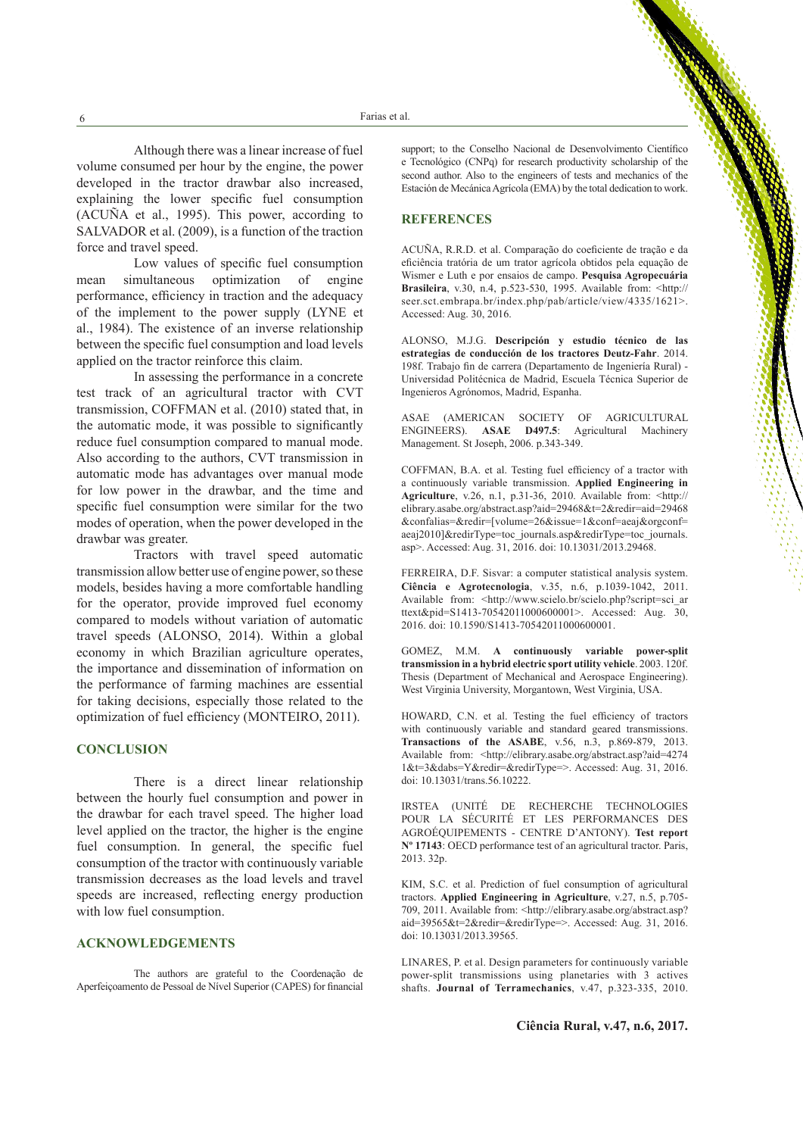Farias et al.

Although there was a linear increase of fuel volume consumed per hour by the engine, the power developed in the tractor drawbar also increased, explaining the lower specific fuel consumption (ACUÑA et al., 1995). This power, according to SALVADOR et al. (2009), is a function of the traction force and travel speed.

Low values of specific fuel consumption mean simultaneous optimization of engine performance, efficiency in traction and the adequacy of the implement to the power supply (LYNE et al., 1984). The existence of an inverse relationship between the specific fuel consumption and load levels applied on the tractor reinforce this claim.

In assessing the performance in a concrete test track of an agricultural tractor with CVT transmission, COFFMAN et al. (2010) stated that, in the automatic mode, it was possible to significantly reduce fuel consumption compared to manual mode. Also according to the authors, CVT transmission in automatic mode has advantages over manual mode for low power in the drawbar, and the time and specific fuel consumption were similar for the two modes of operation, when the power developed in the drawbar was greater.

Tractors with travel speed automatic transmission allow better use of engine power, so these models, besides having a more comfortable handling for the operator, provide improved fuel economy compared to models without variation of automatic travel speeds (ALONSO, 2014). Within a global economy in which Brazilian agriculture operates, the importance and dissemination of information on the performance of farming machines are essential for taking decisions, especially those related to the optimization of fuel efficiency (MONTEIRO, 2011).

# **CONCLUSION**

There is a direct linear relationship between the hourly fuel consumption and power in the drawbar for each travel speed. The higher load level applied on the tractor, the higher is the engine fuel consumption. In general, the specific fuel consumption of the tractor with continuously variable transmission decreases as the load levels and travel speeds are increased, reflecting energy production with low fuel consumption.

# **ACKNOWLEDGEMENTS**

The authors are grateful to the Coordenação de Aperfeiçoamento de Pessoal de Nível Superior (CAPES) for financial support; to the Conselho Nacional de Desenvolvimento Científico e Tecnológico (CNPq) for research productivity scholarship of the second author. Also to the engineers of tests and mechanics of the Estación de Mecánica Agrícola (EMA) by the total dedication to work.

### **REFERENCES**

ACUÑA, R.R.D. et al. Comparação do coeficiente de tração e da eficiência tratória de um trator agrícola obtidos pela equação de Wismer e Luth e por ensaios de campo. **Pesquisa Agropecuária Brasileira**, v.30, n.4, p.523-530, 1995. Available from: <http:// seer.sct.embrapa.br/index.php/pab/article/view/4335/1621>. Accessed: Aug. 30, 2016.

ALONSO, M.J.G. **Descripción y estudio técnico de las estrategias de conducción de los tractores Deutz-Fahr**. 2014. 198f. Trabajo fin de carrera (Departamento de Ingeniería Rural) - Universidad Politécnica de Madrid, Escuela Técnica Superior de Ingenieros Agrónomos, Madrid, Espanha.

ASAE (AMERICAN SOCIETY OF AGRICULTURAL ENGINEERS). **ASAE D497.5**: Agricultural Machinery Management. St Joseph, 2006. p.343-349.

COFFMAN, B.A. et al. Testing fuel efficiency of a tractor with a continuously variable transmission. **Applied Engineering in Agriculture**, v.26, n.1, p.31-36, 2010. Available from: <http:// elibrary.asabe.org/abstract.asp?aid=29468&t=2&redir=aid=29468 &confalias=&redir=[volume=26&issue=1&conf=aeaj&orgconf= aeaj2010]&redirType=toc\_journals.asp&redirType=toc\_journals. asp>. Accessed: Aug. 31, 2016. doi: 10.13031/2013.29468.

FERREIRA, D.F. Sisvar: a computer statistical analysis system. **Ciência e Agrotecnologia**, v.35, n.6, p.1039-1042, 2011. Available from: <http://www.scielo.br/scielo.php?script=sci\_ar ttext&pid=S1413-70542011000600001>. Accessed: Aug. 30, 2016. doi: 10.1590/S1413-70542011000600001.

GOMEZ, M.M. **A continuously variable power-split transmission in a hybrid electric sport utility vehicle**. 2003. 120f. Thesis (Department of Mechanical and Aerospace Engineering). West Virginia University, Morgantown, West Virginia, USA.

HOWARD, C.N. et al. Testing the fuel efficiency of tractors with continuously variable and standard geared transmissions. **Transactions of the ASABE**, v.56, n.3, p.869-879, 2013. Available from: <http://elibrary.asabe.org/abstract.asp?aid=4274 1&t=3&dabs=Y&redir=&redirType=>. Accessed: Aug. 31, 2016. doi: 10.13031/trans.56.10222.

IRSTEA (UNITÉ DE RECHERCHE TECHNOLOGIES POUR LA SÉCURITÉ ET LES PERFORMANCES DES AGROÉQUIPEMENTS - CENTRE D'ANTONY). **Test report Nº 17143**: OECD performance test of an agricultural tractor. Paris, 2013. 32p.

KIM, S.C. et al. Prediction of fuel consumption of agricultural tractors. **Applied Engineering in Agriculture**, v.27, n.5, p.705- 709, 2011. Available from: <http://elibrary.asabe.org/abstract.asp? aid=39565&t=2&redir=&redirType=>. Accessed: Aug. 31, 2016. doi: 10.13031/2013.39565.

LINARES, P. et al. Design parameters for continuously variable power-split transmissions using planetaries with 3 actives shafts. **Journal of Terramechanics**, v.47, p.323-335, 2010.

**Ciência Rural, v.47, n.6, 2017.**